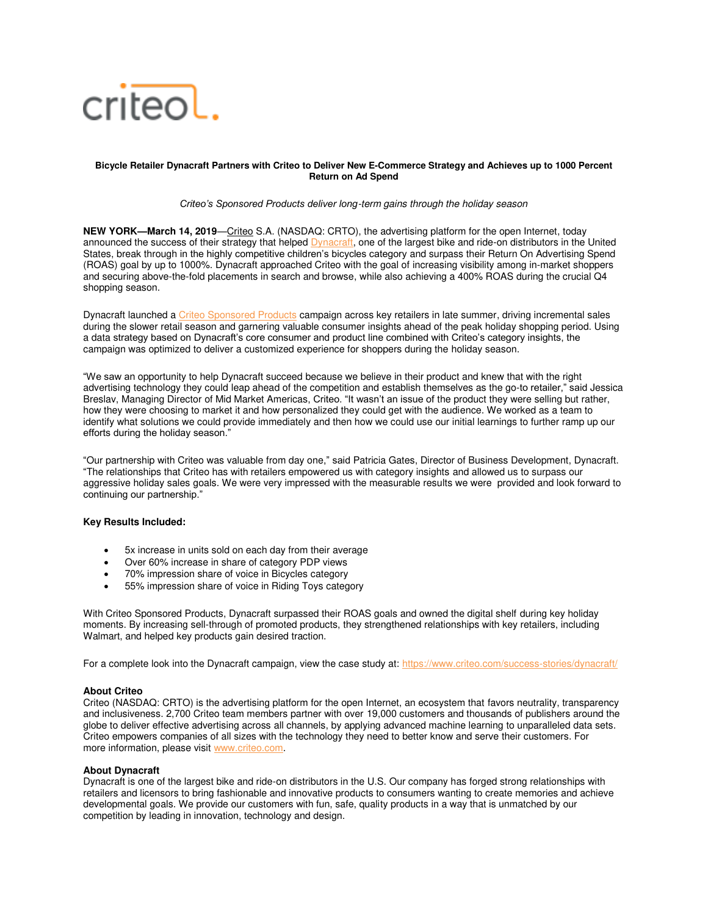

## **Bicycle Retailer Dynacraft Partners with Criteo to Deliver New E-Commerce Strategy and Achieves up to 1000 Percent Return on Ad Spend**

## *Criteo's Sponsored Products deliver long*-term gains through the holiday season

**NEW YORK—March 14, 2019**—[Criteo](http://www.criteo.com/) S.A. (NASDAQ: CRTO), the advertising platform for the open Internet, today announced the success of their strategy that helped [Dynacraft,](https://www.dynacraftwheels.com/) one of the largest bike and ride-on distributors in the United States, break through in the highly competitive children's bicycles category and surpass their Return On Advertising Spend (ROAS) goal by up to 1000%. Dynacraft approached Criteo with the goal of increasing visibility among in-market shoppers and securing above-the-fold placements in search and browse, while also achieving a 400% ROAS during the crucial Q4 shopping season.

Dynacraft launched [a Criteo Sponsored Products](https://www.criteo.com/for-marketers/products/criteo-sponsored-products-for-brands/) campaign across key retailers in late summer, driving incremental sales during the slower retail season and garnering valuable consumer insights ahead of the peak holiday shopping period. Using a data strategy based on Dynacraft's core consumer and product line combined with Criteo's category insights, the campaign was optimized to deliver a customized experience for shoppers during the holiday season.

"We saw an opportunity to help Dynacraft succeed because we believe in their product and knew that with the right advertising technology they could leap ahead of the competition and establish themselves as the go-to retailer," said Jessica Breslav, Managing Director of Mid Market Americas, Criteo. "It wasn't an issue of the product they were selling but rather, how they were choosing to market it and how personalized they could get with the audience. We worked as a team to identify what solutions we could provide immediately and then how we could use our initial learnings to further ramp up our efforts during the holiday season."

"Our partnership with Criteo was valuable from day one," said Patricia Gates, Director of Business Development, Dynacraft. "The relationships that Criteo has with retailers empowered us with category insights and allowed us to surpass our aggressive holiday sales goals. We were very impressed with the measurable results we were provided and look forward to continuing our partnership."

## **Key Results Included:**

- 5x increase in units sold on each day from their average
- Over 60% increase in share of category PDP views
- 70% impression share of voice in Bicycles category
- 55% impression share of voice in Riding Toys category

With Criteo Sponsored Products, Dynacraft surpassed their ROAS goals and owned the digital shelf during key holiday moments. By increasing sell-through of promoted products, they strengthened relationships with key retailers, including Walmart, and helped key products gain desired traction.

For a complete look into the Dynacraft campaign, view the case study at:<https://www.criteo.com/success-stories/dynacraft/>

# **About Criteo**

Criteo (NASDAQ: CRTO) is the advertising platform for the open Internet, an ecosystem that favors neutrality, transparency and inclusiveness. 2,700 Criteo team members partner with over 19,000 customers and thousands of publishers around the globe to deliver effective advertising across all channels, by applying advanced machine learning to unparalleled data sets. Criteo empowers companies of all sizes with the technology they need to better know and serve their customers. For more information, please visit [www.criteo.com.](http://www.criteo.com/)

## **About Dynacraft**

Dynacraft is one of the largest bike and ride-on distributors in the U.S. Our company has forged strong relationships with retailers and licensors to bring fashionable and innovative products to consumers wanting to create memories and achieve developmental goals. We provide our customers with fun, safe, quality products in a way that is unmatched by our competition by leading in innovation, technology and design.